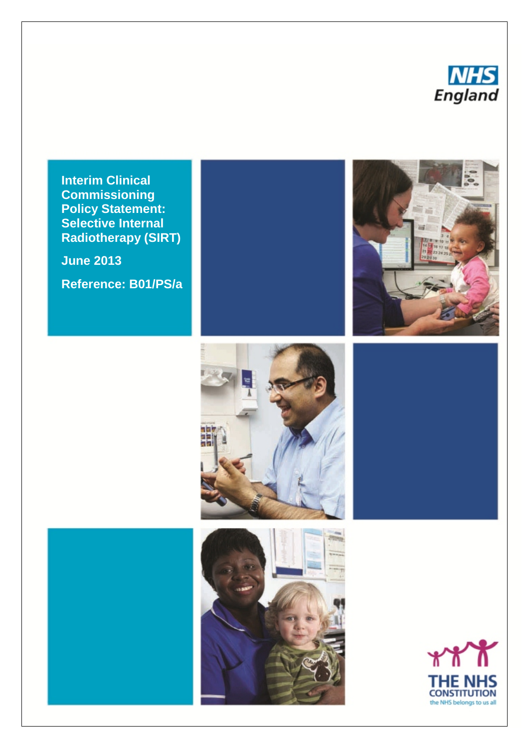

**Interim Clinical Commissioning Policy Statement: Selective Internal Radiotherapy (SIRT)**

**June 2013**

**Reference: B01/PS/a**







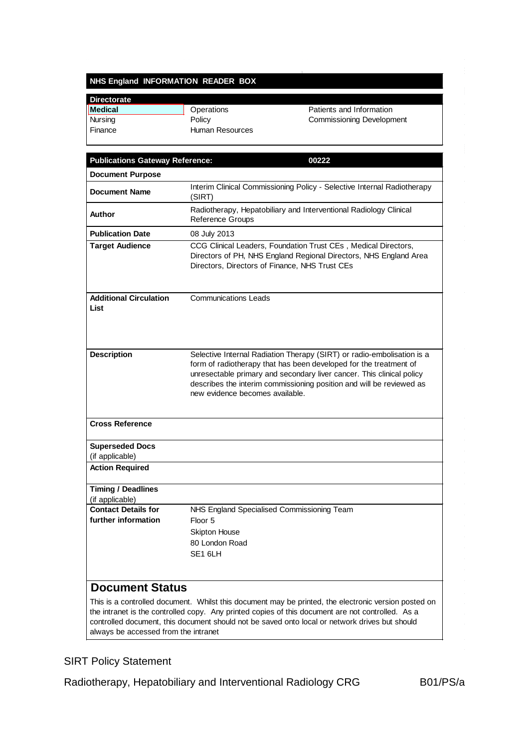#### **NHS England INFORMATION READER BOX**

| <b>Directorate</b> |                 |                                  |
|--------------------|-----------------|----------------------------------|
| Medical            | Operations      | Patients and Information         |
| Nursing            | Policy          | <b>Commissioning Development</b> |
| Finance            | Human Resources |                                  |

| <b>Publications Gateway Reference:</b>            | 00222                                                                                                                                                                                                                                                                                                                           |
|---------------------------------------------------|---------------------------------------------------------------------------------------------------------------------------------------------------------------------------------------------------------------------------------------------------------------------------------------------------------------------------------|
| <b>Document Purpose</b>                           |                                                                                                                                                                                                                                                                                                                                 |
| <b>Document Name</b>                              | Interim Clinical Commissioning Policy - Selective Internal Radiotherapy<br>(SIRT)                                                                                                                                                                                                                                               |
| <b>Author</b>                                     | Radiotherapy, Hepatobiliary and Interventional Radiology Clinical<br>Reference Groups                                                                                                                                                                                                                                           |
| <b>Publication Date</b>                           | 08 July 2013                                                                                                                                                                                                                                                                                                                    |
| <b>Target Audience</b>                            | CCG Clinical Leaders, Foundation Trust CEs, Medical Directors,<br>Directors of PH, NHS England Regional Directors, NHS England Area<br>Directors, Directors of Finance, NHS Trust CEs                                                                                                                                           |
| <b>Additional Circulation</b><br>List             | <b>Communications Leads</b>                                                                                                                                                                                                                                                                                                     |
| <b>Description</b>                                | Selective Internal Radiation Therapy (SIRT) or radio-embolisation is a<br>form of radiotherapy that has been developed for the treatment of<br>unresectable primary and secondary liver cancer. This clinical policy<br>describes the interim commissioning position and will be reviewed as<br>new evidence becomes available. |
| <b>Cross Reference</b>                            |                                                                                                                                                                                                                                                                                                                                 |
| <b>Superseded Docs</b><br>(if applicable)         |                                                                                                                                                                                                                                                                                                                                 |
| <b>Action Required</b>                            |                                                                                                                                                                                                                                                                                                                                 |
| <b>Timing / Deadlines</b><br>(if applicable)      |                                                                                                                                                                                                                                                                                                                                 |
| <b>Contact Details for</b><br>further information | NHS England Specialised Commissioning Team<br>Floor 5<br><b>Skipton House</b><br>80 London Road<br>SE <sub>16LH</sub>                                                                                                                                                                                                           |
| <b>Document Status</b>                            | This is a controlled decument. Whilet this decument may be printed, the electronic version pected on                                                                                                                                                                                                                            |

This is a controlled document. Whilst this document may be printed, the electronic version posted on the intranet is the controlled copy. Any printed copies of this document are not controlled. As a controlled document, this document should not be saved onto local or network drives but should always be accessed from the intranet

### SIRT Policy Statement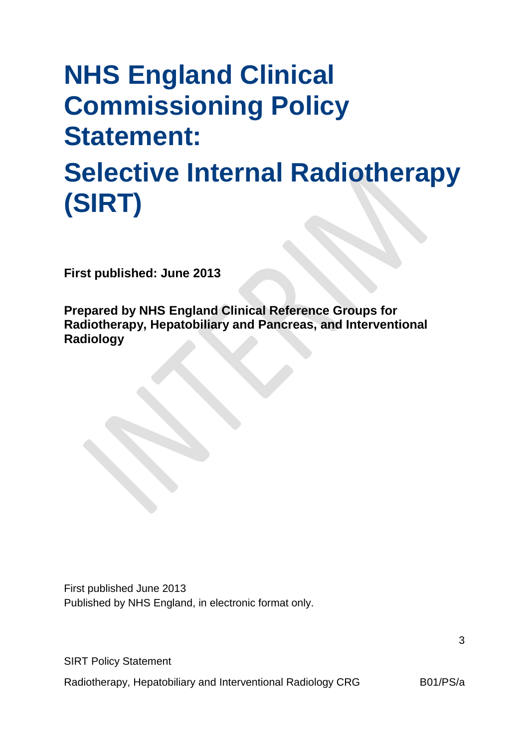# **NHS England Clinical Commissioning Policy Statement: Selective Internal Radiotherapy (SIRT)**

**First published: June 2013**

**Prepared by NHS England Clinical Reference Groups for Radiotherapy, Hepatobiliary and Pancreas, and Interventional Radiology**

First published June 2013 Published by NHS England, in electronic format only.

SIRT Policy Statement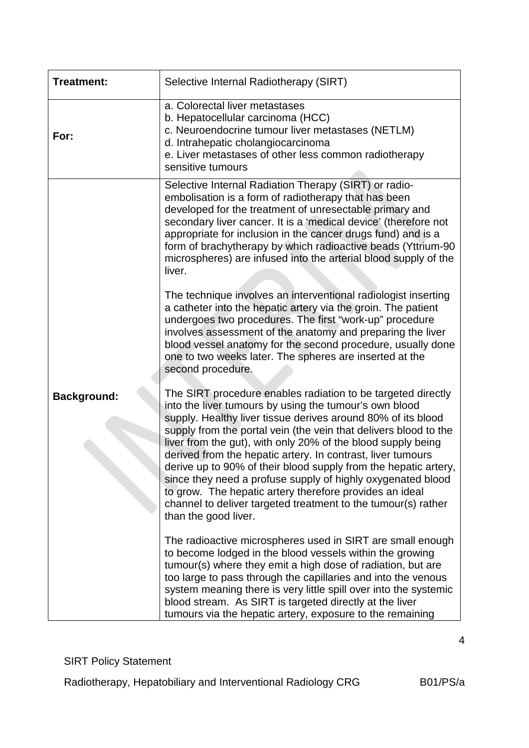| Treatment:         | Selective Internal Radiotherapy (SIRT)                                                                                                                                                                                                                                                                                                                                                                                                                                                                                                                                                                                                                                          |
|--------------------|---------------------------------------------------------------------------------------------------------------------------------------------------------------------------------------------------------------------------------------------------------------------------------------------------------------------------------------------------------------------------------------------------------------------------------------------------------------------------------------------------------------------------------------------------------------------------------------------------------------------------------------------------------------------------------|
| For:               | a. Colorectal liver metastases<br>b. Hepatocellular carcinoma (HCC)<br>c. Neuroendocrine tumour liver metastases (NETLM)<br>d. Intrahepatic cholangiocarcinoma<br>e. Liver metastases of other less common radiotherapy<br>sensitive tumours                                                                                                                                                                                                                                                                                                                                                                                                                                    |
|                    | Selective Internal Radiation Therapy (SIRT) or radio-<br>embolisation is a form of radiotherapy that has been<br>developed for the treatment of unresectable primary and<br>secondary liver cancer. It is a 'medical device' (therefore not<br>appropriate for inclusion in the cancer drugs fund) and is a<br>form of brachytherapy by which radioactive beads (Yttrium-90<br>microspheres) are infused into the arterial blood supply of the<br>liver.                                                                                                                                                                                                                        |
|                    | The technique involves an interventional radiologist inserting<br>a catheter into the hepatic artery via the groin. The patient<br>undergoes two procedures. The first "work-up" procedure<br>involves assessment of the anatomy and preparing the liver<br>blood vessel anatomy for the second procedure, usually done<br>one to two weeks later. The spheres are inserted at the<br>second procedure.                                                                                                                                                                                                                                                                         |
| <b>Background:</b> | The SIRT procedure enables radiation to be targeted directly<br>into the liver tumours by using the tumour's own blood<br>supply. Healthy liver tissue derives around 80% of its blood<br>supply from the portal vein (the vein that delivers blood to the<br>liver from the gut), with only 20% of the blood supply being<br>derived from the hepatic artery. In contrast, liver tumours<br>derive up to 90% of their blood supply from the hepatic artery,<br>since they need a profuse supply of highly oxygenated blood<br>to grow. The hepatic artery therefore provides an ideal<br>channel to deliver targeted treatment to the tumour(s) rather<br>than the good liver. |
|                    | The radioactive microspheres used in SIRT are small enough<br>to become lodged in the blood vessels within the growing<br>tumour(s) where they emit a high dose of radiation, but are<br>too large to pass through the capillaries and into the venous<br>system meaning there is very little spill over into the systemic<br>blood stream. As SIRT is targeted directly at the liver<br>tumours via the hepatic artery, exposure to the remaining                                                                                                                                                                                                                              |

SIRT Policy Statement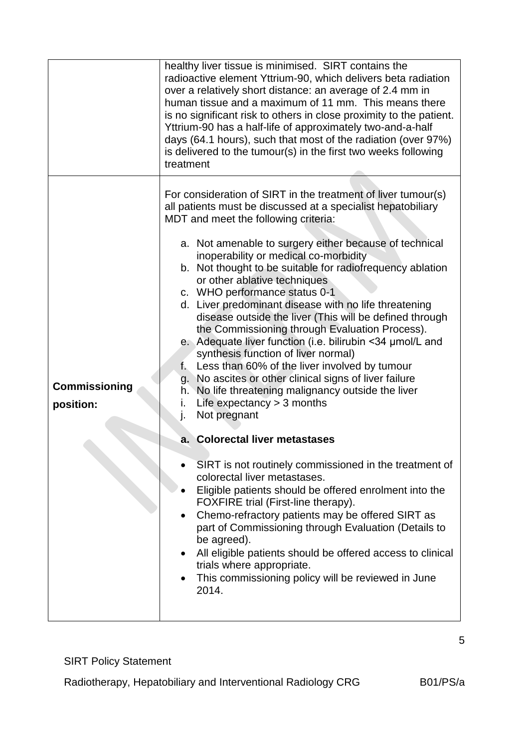|                                   | healthy liver tissue is minimised. SIRT contains the<br>radioactive element Yttrium-90, which delivers beta radiation<br>over a relatively short distance: an average of 2.4 mm in<br>human tissue and a maximum of 11 mm. This means there<br>is no significant risk to others in close proximity to the patient.<br>Yttrium-90 has a half-life of approximately two-and-a-half<br>days (64.1 hours), such that most of the radiation (over 97%)<br>is delivered to the tumour(s) in the first two weeks following<br>treatment                                                                                                                                                                                                                                                                                                                                                                                                                                                                                                                                                                                                                                                                                                                                                                                                                                                                                                                |  |
|-----------------------------------|-------------------------------------------------------------------------------------------------------------------------------------------------------------------------------------------------------------------------------------------------------------------------------------------------------------------------------------------------------------------------------------------------------------------------------------------------------------------------------------------------------------------------------------------------------------------------------------------------------------------------------------------------------------------------------------------------------------------------------------------------------------------------------------------------------------------------------------------------------------------------------------------------------------------------------------------------------------------------------------------------------------------------------------------------------------------------------------------------------------------------------------------------------------------------------------------------------------------------------------------------------------------------------------------------------------------------------------------------------------------------------------------------------------------------------------------------|--|
| <b>Commissioning</b><br>position: | For consideration of SIRT in the treatment of liver tumour(s)<br>all patients must be discussed at a specialist hepatobiliary<br>MDT and meet the following criteria:<br>a. Not amenable to surgery either because of technical<br>inoperability or medical co-morbidity<br>b. Not thought to be suitable for radiofrequency ablation<br>or other ablative techniques<br>c. WHO performance status 0-1<br>d. Liver predominant disease with no life threatening<br>disease outside the liver (This will be defined through<br>the Commissioning through Evaluation Process).<br>e. Adequate liver function (i.e. bilirubin <34 µmol/L and<br>synthesis function of liver normal)<br>Less than 60% of the liver involved by tumour<br>$f_{\star}$<br>g. No ascites or other clinical signs of liver failure<br>h. No life threatening malignancy outside the liver<br>i.<br>Life expectancy $>$ 3 months<br>Not pregnant<br>j.<br>a. Colorectal liver metastases<br>SIRT is not routinely commissioned in the treatment of<br>colorectal liver metastases.<br>Eligible patients should be offered enrolment into the<br>FOXFIRE trial (First-line therapy).<br>Chemo-refractory patients may be offered SIRT as<br>part of Commissioning through Evaluation (Details to<br>be agreed).<br>All eligible patients should be offered access to clinical<br>trials where appropriate.<br>This commissioning policy will be reviewed in June<br>2014. |  |

SIRT Policy Statement

Radiotherapy, Hepatobiliary and Interventional Radiology CRG B01/PS/a

5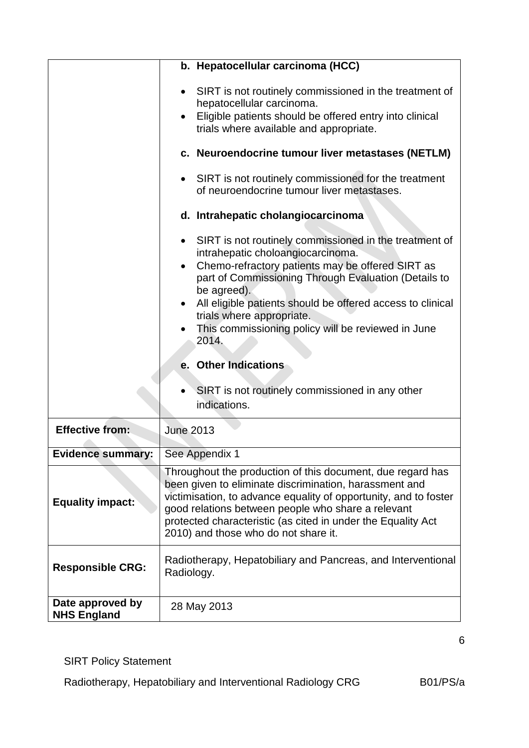|                                        | b. Hepatocellular carcinoma (HCC)                                                                                                                                                                                                                                                                                                                                                                                                                                                                                         |  |
|----------------------------------------|---------------------------------------------------------------------------------------------------------------------------------------------------------------------------------------------------------------------------------------------------------------------------------------------------------------------------------------------------------------------------------------------------------------------------------------------------------------------------------------------------------------------------|--|
|                                        | SIRT is not routinely commissioned in the treatment of<br>$\bullet$<br>hepatocellular carcinoma.<br>Eligible patients should be offered entry into clinical<br>$\bullet$<br>trials where available and appropriate.                                                                                                                                                                                                                                                                                                       |  |
|                                        | c. Neuroendocrine tumour liver metastases (NETLM)                                                                                                                                                                                                                                                                                                                                                                                                                                                                         |  |
|                                        | SIRT is not routinely commissioned for the treatment<br>$\bullet$<br>of neuroendocrine tumour liver metastases.                                                                                                                                                                                                                                                                                                                                                                                                           |  |
|                                        | d. Intrahepatic cholangiocarcinoma                                                                                                                                                                                                                                                                                                                                                                                                                                                                                        |  |
| <b>Effective from:</b>                 | SIRT is not routinely commissioned in the treatment of<br>$\bullet$<br>intrahepatic choloangiocarcinoma.<br>Chemo-refractory patients may be offered SIRT as<br>$\bullet$<br>part of Commissioning Through Evaluation (Details to<br>be agreed).<br>All eligible patients should be offered access to clinical<br>trials where appropriate.<br>This commissioning policy will be reviewed in June<br>2014.<br>e. Other Indications<br>SIRT is not routinely commissioned in any other<br>indications.<br><b>June 2013</b> |  |
|                                        |                                                                                                                                                                                                                                                                                                                                                                                                                                                                                                                           |  |
| <b>Evidence summary:</b>               | See Appendix 1                                                                                                                                                                                                                                                                                                                                                                                                                                                                                                            |  |
| <b>Equality impact:</b>                | Throughout the production of this document, due regard has<br>been given to eliminate discrimination, harassment and<br>victimisation, to advance equality of opportunity, and to foster<br>good relations between people who share a relevant<br>protected characteristic (as cited in under the Equality Act<br>2010) and those who do not share it.                                                                                                                                                                    |  |
| <b>Responsible CRG:</b>                | Radiotherapy, Hepatobiliary and Pancreas, and Interventional<br>Radiology.                                                                                                                                                                                                                                                                                                                                                                                                                                                |  |
| Date approved by<br><b>NHS England</b> | 28 May 2013                                                                                                                                                                                                                                                                                                                                                                                                                                                                                                               |  |

SIRT Policy Statement

Radiotherapy, Hepatobiliary and Interventional Radiology CRG B01/PS/a

6